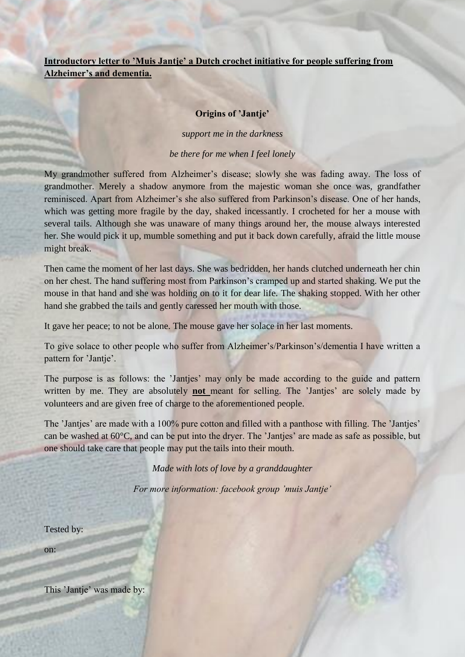# **Introductory letter to 'Muis Jantje' a Dutch crochet initiative for people suffering from Alzheimer's and dementia.**

#### **Origins of 'Jantje'**

*support me in the darkness*

*be there for me when I feel lonely*

My grandmother suffered from Alzheimer's disease; slowly she was fading away. The loss of grandmother. Merely a shadow anymore from the majestic woman she once was, grandfather reminisced. Apart from Alzheimer's she also suffered from Parkinson's disease. One of her hands, which was getting more fragile by the day, shaked incessantly. I crocheted for her a mouse with several tails. Although she was unaware of many things around her, the mouse always interested her. She would pick it up, mumble something and put it back down carefully, afraid the little mouse might break.

Then came the moment of her last days. She was bedridden, her hands clutched underneath her chin on her chest. The hand suffering most from Parkinson's cramped up and started shaking. We put the mouse in that hand and she was holding on to it for dear life. The shaking stopped. With her other hand she grabbed the tails and gently caressed her mouth with those.

It gave her peace; to not be alone. The mouse gave her solace in her last moments.

To give solace to other people who suffer from Alzheimer's/Parkinson's/dementia I have written a pattern for 'Jantje'.

The purpose is as follows: the 'Jantjes' may only be made according to the guide and pattern written by me. They are absolutely **not** meant for selling. The 'Jantjes' are solely made by volunteers and are given free of charge to the aforementioned people.

The 'Jantjes' are made with a 100% pure cotton and filled with a panthose with filling. The 'Jantjes' can be washed at 60°C, and can be put into the dryer. The 'Jantjes' are made as safe as possible, but one should take care that people may put the tails into their mouth.

*Made with lots of love by a granddaughter*

*For more information: facebook group 'muis Jantje'*

Tested by:

on:

This 'Jantje' was made by: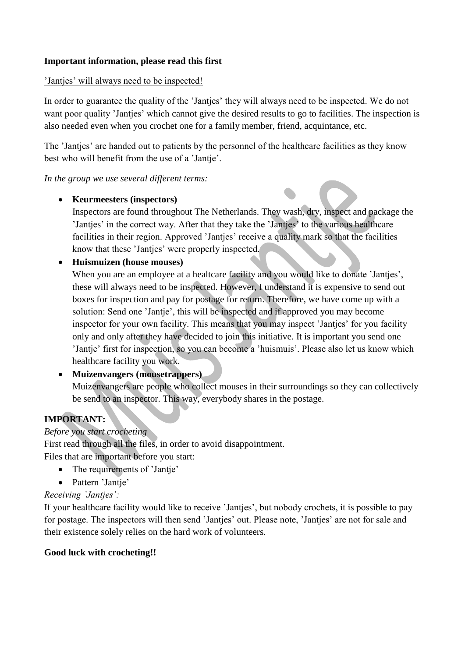### **Important information, please read this first**

### 'Jantjes' will always need to be inspected!

In order to guarantee the quality of the 'Jantjes' they will always need to be inspected. We do not want poor quality 'Jantjes' which cannot give the desired results to go to facilities. The inspection is also needed even when you crochet one for a family member, friend, acquintance, etc.

The 'Jantjes' are handed out to patients by the personnel of the healthcare facilities as they know best who will benefit from the use of a 'Jantje'.

*In the group we use several different terms:*

### **Keurmeesters (inspectors)**

Inspectors are found throughout The Netherlands. They wash, dry, inspect and package the 'Jantjes' in the correct way. After that they take the 'Jantjes' to the various healthcare facilities in their region. Approved 'Jantjes' receive a quality mark so that the facilities know that these 'Jantjes' were properly inspected.

### **Huismuizen (house mouses)**

When you are an employee at a healtcare facility and you would like to donate 'Jantjes', these will always need to be inspected. However, I understand it is expensive to send out boxes for inspection and pay for postage for return. Therefore, we have come up with a solution: Send one 'Jantje', this will be inspected and if approved you may become inspector for your own facility. This means that you may inspect 'Jantjes' for you facility only and only after they have decided to join this initiative. It is important you send one 'Jantje' first for inspection, so you can become a 'huismuis'. Please also let us know which healthcare facility you work.

# **Muizenvangers (mousetrappers)**

Muizenvangers are people who collect mouses in their surroundings so they can collectively be send to an inspector. This way, everybody shares in the postage.

# **IMPORTANT:**

### *Before you start crocheting*

First read through all the files, in order to avoid disappointment. Files that are important before you start:

- The requirements of 'Jantje'
- Pattern 'Jantie'

# *Receiving 'Jantjes':*

If your healthcare facility would like to receive 'Jantjes', but nobody crochets, it is possible to pay for postage. The inspectors will then send 'Jantjes' out. Please note, 'Jantjes' are not for sale and their existence solely relies on the hard work of volunteers.

### **Good luck with crocheting!!**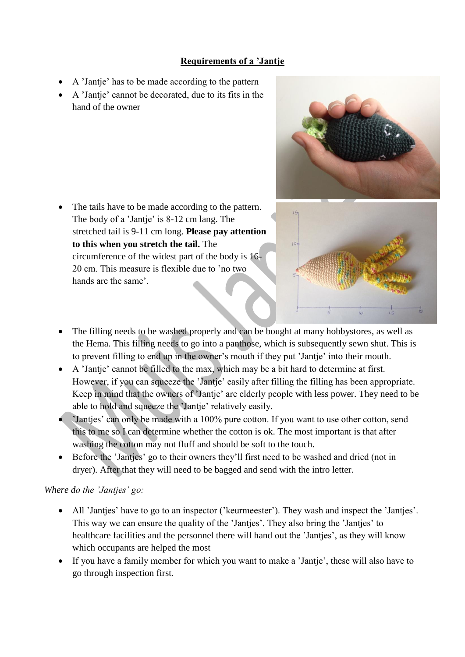# **Requirements of a 'Jantje**

- A 'Jantje' has to be made according to the pattern
- A 'Jantje' cannot be decorated, due to its fits in the hand of the owner



• The tails have to be made according to the pattern. The body of a 'Jantje' is 8-12 cm lang. The stretched tail is 9-11 cm long. **Please pay attention to this when you stretch the tail.** The circumference of the widest part of the body is 16- 20 cm. This measure is flexible due to 'no two hands are the same'.



- The filling needs to be washed properly and can be bought at many hobbystores, as well as the Hema. This filling needs to go into a panthose, which is subsequently sewn shut. This is to prevent filling to end up in the owner's mouth if they put 'Jantje' into their mouth.
- A 'Jantje' cannot be filled to the max, which may be a bit hard to determine at first. However, if you can squeeze the 'Jantje' easily after filling the filling has been appropriate. Keep in mind that the owners of 'Jantje' are elderly people with less power. They need to be able to hold and squeeze the 'Jantje' relatively easily.
- 'Jantjes' can only be made with a 100% pure cotton. If you want to use other cotton, send this to me so I can determine whether the cotton is ok. The most important is that after washing the cotton may not fluff and should be soft to the touch.
- Before the 'Jantjes' go to their owners they'll first need to be washed and dried (not in dryer). After that they will need to be bagged and send with the intro letter.

### *Where do the 'Jantjes' go:*

- All 'Jantjes' have to go to an inspector ('keurmeester'). They wash and inspect the 'Jantjes'. This way we can ensure the quality of the 'Jantjes'. They also bring the 'Jantjes' to healthcare facilities and the personnel there will hand out the 'Jantjes', as they will know which occupants are helped the most
- If you have a family member for which you want to make a 'Jantje', these will also have to go through inspection first.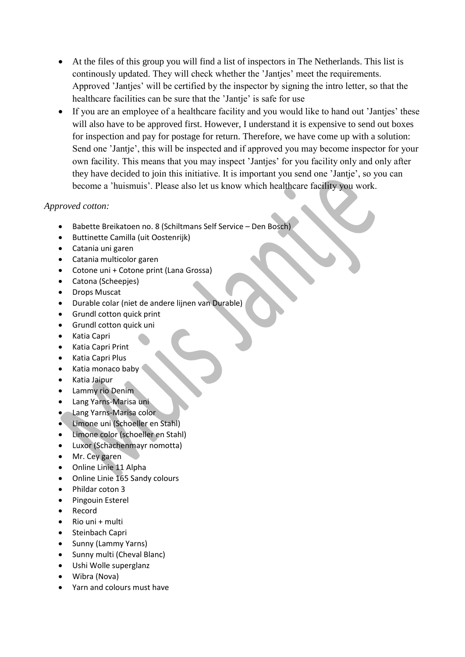- At the files of this group you will find a list of inspectors in The Netherlands. This list is continously updated. They will check whether the 'Jantjes' meet the requirements. Approved 'Jantjes' will be certified by the inspector by signing the intro letter, so that the healthcare facilities can be sure that the 'Jantje' is safe for use
- If you are an employee of a healthcare facility and you would like to hand out 'Jantjes' these will also have to be approved first. However, I understand it is expensive to send out boxes for inspection and pay for postage for return. Therefore, we have come up with a solution: Send one 'Jantje', this will be inspected and if approved you may become inspector for your own facility. This means that you may inspect 'Jantjes' for you facility only and only after they have decided to join this initiative. It is important you send one 'Jantje', so you can become a 'huismuis'. Please also let us know which healthcare facility you work.

### *Approved cotton:*

- Babette Breikatoen no. 8 (Schiltmans Self Service Den Bosch)
- Buttinette Camilla (uit Oostenrijk)
- Catania uni garen
- Catania multicolor garen
- Cotone uni + Cotone print (Lana Grossa)
- Catona (Scheepjes)
- Drops Muscat
- Durable colar (niet de andere lijnen van Durable)
- Grundl cotton quick print
- Grundl cotton quick uni
- Katia Capri
- Katia Capri Print
- Katia Capri Plus
- $\bullet$  Katia monaco baby
- Katia Jaipur
- Lammy rio Denim
- Lang Yarns-Marisa uni
- **.** Lang Yarns-Marisa color
- Limone uni (Schoeller en Stahl)
- Limone color (schoeller en Stahl)
- Luxor (Schachenmayr nomotta)
- Mr. Cey garen
- Online Linie 11 Alpha
- Online Linie 165 Sandy colours
- Phildar coton 3
- Pingouin Esterel
- Record
- $\bullet$  Rio uni + multi
- Steinbach Capri
- Sunny (Lammy Yarns)
- Sunny multi (Cheval Blanc)
- Ushi Wolle superglanz
- Wibra (Nova)
- Yarn and colours must have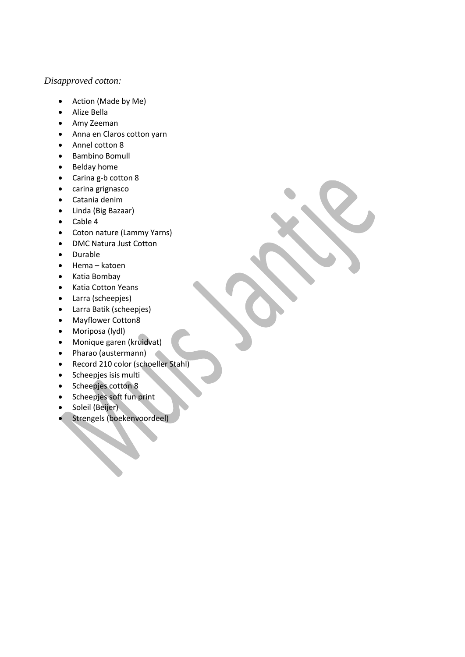#### *Disapproved cotton:*

- Action (Made by Me)
- Alize Bella
- Amy Zeeman
- Anna en Claros cotton yarn
- Annel cotton 8
- Bambino Bomull
- Belday home
- Carina g-b cotton 8
- carina grignasco
- Catania denim
- Linda (Big Bazaar)
- Cable 4
- Coton nature (Lammy Yarns)
- DMC Natura Just Cotton
- Durable
- Hema katoen
- Katia Bombay
- Katia Cotton Yeans
- Larra (scheepjes)
- Larra Batik (scheepjes)
- Mayflower Cotton8
- Moriposa (lydl)
- Monique garen (kruidvat)
- Pharao (austermann)
- Record 210 color (schoeller Stahl)
- Scheepjes isis multi
- Scheepjes cotton 8
- Scheepjes soft fun print
- Soleil (Beijer)
- Strengels (boekenvoordeel)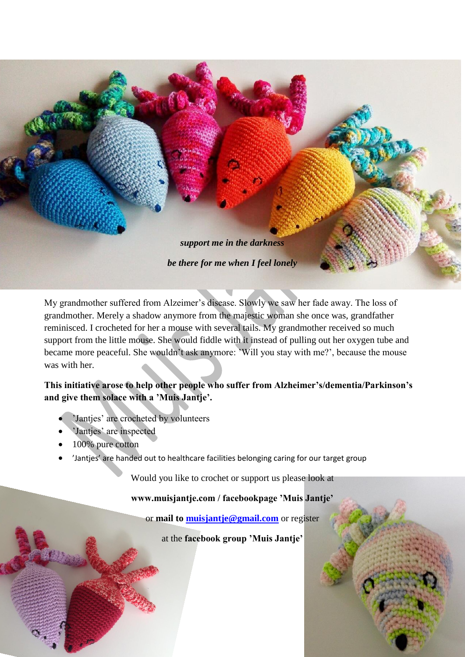

My grandmother suffered from Alzeimer's disease. Slowly we saw her fade away. The loss of grandmother. Merely a shadow anymore from the majestic woman she once was, grandfather reminisced. I crocheted for her a mouse with several tails. My grandmother received so much support from the little mouse. She would fiddle with it instead of pulling out her oxygen tube and became more peaceful. She wouldn't ask anymore: 'Will you stay with me?', because the mouse was with her.

# **This initiative arose to help other people who suffer from Alzheimer's/dementia/Parkinson's and give them solace with a 'Muis Jantje'.**

- 'Jantjes' are crocheted by volunteers
- 'Jantjes' are inspected
- 100% pure cotton
- 'Jantjes' are handed out to healthcare facilities belonging caring for our target group

Would you like to crochet or support us please look at

**www.muisjantje.com / facebookpage 'Muis Jantje'**

or **mail to [muisjantje@gmail.com](mailto:muisjantje@gmail.com)** or register

at the **facebook group 'Muis Jantje'**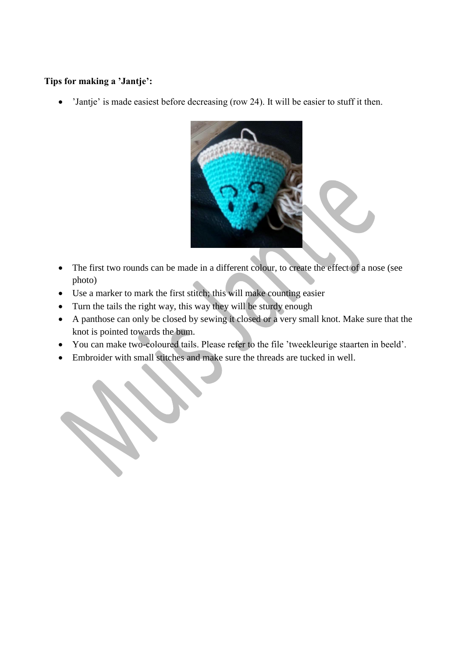## **Tips for making a 'Jantje':**

'Jantje' is made easiest before decreasing (row 24). It will be easier to stuff it then.



- The first two rounds can be made in a different colour, to create the effect of a nose (see photo)
- Use a marker to mark the first stitch; this will make counting easier
- Turn the tails the right way, this way they will be sturdy enough
- A panthose can only be closed by sewing it closed or a very small knot. Make sure that the knot is pointed towards the bum.
- You can make two-coloured tails. Please refer to the file 'tweekleurige staarten in beeld'.
- Embroider with small stitches and make sure the threads are tucked in well.